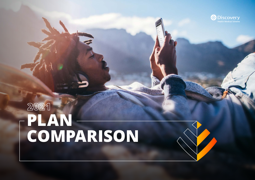# **2021 PLAN COMPARISON**



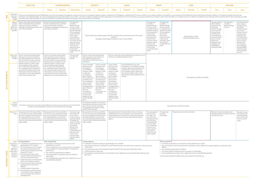| <b>EXECUTIVE</b> | <b>COMPREHENSIVE</b>                                | <b>PRIORITY</b>             | <b>SAVER</b>                    | <b>SMART</b>                       | CORE                                          | <b>KEYCAR</b> |
|------------------|-----------------------------------------------------|-----------------------------|---------------------------------|------------------------------------|-----------------------------------------------|---------------|
|                  | <i>essential</i><br><b>Classic Smart</b><br>Ilassic | <b>Essential</b><br>Classic | Classic<br>Essential<br>Coastal | <b>Classic</b><br><b>Essential</b> | <i><b>Essential</b></i><br>Coastal<br>Classic | -Start        |

**PMB**

Above Threshold<br>Benefit

Prescribed Minimum Benefits (PMB) All Discovery Health Medical Scheme (DHMS) plans cover the costs related to the diagnosis, treatment and care of: an emergency medical condition, a defined list of 270 diagnoses, a defined list of 27 chronic conditions. Yo treatments in the defined benefits. You must use designated service providers (DSPs) in our network - this does not apply in emergencies. Where appropriate and according to the rules of the Scheme, you may be transferred t of the Discovery Health Rate (DHR). You will be responsible for the difference between what we pay and the actual cost of your treatment. Medical Savings Account (MSA) and day-to-day **benefits** Pays for day-to-day medical expenses like GP consultation fees, prescribed and over-the-counter medicine, radiology and pathology as long as you have money available. Pays for day-to-day medical expenses like GP consultation fees, prescribed and over-the-counter medicine, radiology and pathology as long as you have money available. This plan does not offer a Medical Savings Account. Access to a defined set of benefits including GP consultations, certain specialist visits, certain acute medicine when prescribed by a Smart GP and over-the-counter medicine, dental check up and optometry check up with fixed co-payments and limits. Pays for day-to-day medical expenses like GP consultation fees, prescribed and over-the-counter medicine, radiology and pathology as long as you have money available. This plan does not offer a Medical Savings Account. Access to a defined set of benefits including GP consultations, certain acute medicine when prescribed by a Smart GP and over-the-counter medicine, dental check up and optometry check up with fixed co-payments and limits. This plan does not offer a Medical Savings Account. Access  $\frac{1}{2}$  to a defined set of benefits including GP consultations, certain overthe-counter medicine, dental check up and optometry check up with fixed co-payments and limits. This plan does a Medical Saving This plan does not offer a Medical Savings Account. Day-to-day benefits through your chosen GP and day-to-day medicine from our medicine list when prescribed by your chosen KeyCare GP. We pay for basic radiology and pathology at a network provider. This plan does not offer a Medical Savings Account. offer a Medical Day-to-day your chosen and day-to-day medicine from by your chosen KeyCare Start GP. We pay for basic radiology Start GP. Day-to-day Pays for certain day-to-day benefits **Extender** Benefit after you have run out of money in your MSA and before you reach the Annual Threshold. Covers unlimited pharmacy clinic consultations in our wellness network, as well as video call consultations with a network GP. You also have unlimited cover for consultations with a network GP who meets the digital criteria, when referred. We cover consultations up to the DHR. You also have additional cover for kids casualty visits. Pays for certain day-to-day benefits after you have run out of money in your MSA and before you reach the Annual Threshold. Covers unlimited pharmacy clinic consultations in our wellness network, as well as video call consultations with a network GP. You also have unlimited cover for consultations with a network GP who meets the digital criteria, when referred. We cover consultations up to the DHR. On Classic, you also have additional cover for kids casualty visits. This plan does not offer this benefit. Pays for certain day-to-day benefits after you have run out of money in your Medical Saving Account and before you reach the Annual Threshold. Pays for certain day-to-day benefits after you have run out of money in your Medical Savings Account. These plans do not offer this benefit. Covers unlimited pharmacy clinic consultations in our wellness network, as well as video call consultations with a network GP. You also have unlimited cover for consultations with a network GP who meets Covers unlimited pharmacy clinic consultations in our wellness network, as well as video call consultations with a network GP. You also have unlimited cover for consultations with a network GP who meets Covers limited pharmacy clinic consultations in our wellness network, as well as video call consultations with a network GP. You also have cover for consultations with a network GP who meets Covers limited pharmacy clinic consultations in our wellness network, as well as video call consultations with a network GP. You also have cover for consultations with a network GP who meets the digital criteria, when referred. We cover consultations up to the DHR.

The Scheme continues to cover day-to-day healthcare services once you reach your Annual Threshold The Above Threshold Benefit is unlimited. Annual benefit limits may apply.

| not offer<br>s Account. | This plan does not<br>offer a Medical<br>Savings Account.<br>Day-to-day<br>benefits through<br>your chosen GP<br>and day-to-day<br>medicine from<br>our medicine list<br>when prescribed<br>by your chosen<br>KeyCare GP.<br>We pay for basic<br>radiology and<br>pathology at a<br>network provider. | This plan does<br>not offer a<br><b>Medical Savings</b><br>Account. | This plan does not<br>offer a Medical<br>Savings Account.<br>Day-to-day<br>benefits through<br>your chosen<br>KeyCare Start GP<br>and day-to-day<br>medicine from<br>our medicine list<br>when prescribed<br>by your chosen<br>KeyCare Start<br>GP. We pay for<br>basic radiology<br>and pathology if<br>referred by your<br>chosen KeyCare<br>Start GP. |
|-------------------------|-------------------------------------------------------------------------------------------------------------------------------------------------------------------------------------------------------------------------------------------------------------------------------------------------------|---------------------------------------------------------------------|----------------------------------------------------------------------------------------------------------------------------------------------------------------------------------------------------------------------------------------------------------------------------------------------------------------------------------------------------------|
|                         |                                                                                                                                                                                                                                                                                                       |                                                                     |                                                                                                                                                                                                                                                                                                                                                          |

We pay the first R3 130 of your MRI or CT scan from your day-to-day benefits. We cover the balance of the scan from the Hospital Benefit, up to the DHR. For conservative back and neck scans a limit of one scan per spinal and neck

 $\vert$  = 12 antenatal consultations with your gynaecologist, GP or midwife Two 2D ultrasound scans including one nuchal translucency test. 3D and 4D scans are paid up to the rate

A defined basket of blood tests Five antenatal or postnatal classes or consultations with a registered nurse up until two years after you

the digital criteria, when referred. We cover consultations up to the DHR. You also have additional cover for kids casualty visits.

the digital criteria, when referred. We cover consultations up to the DHR.

the digital criteria, when referred We cover consultations up to the DHR. You also have additional cover for kids casualty visits.

applies

The Scheme continues to cover day-today healthcare services once you reach your Annual Threshold. The Above Threshold Benefit is limited. Annual benefit limits may apply.

These plans do not offer this benefit.

These plans do not offer this bei

MRI and CT We pay the first R3 130 of your MRI or scans CT scan from your day-to-day benefits. We cover the balance of the scan from the Hospital Benefit, up to the DHR. For conservative back and neck scans a limit of one scan per spinal and neck

region applies.

We pay the first R3 130 of your MRI or CT scan from your day-to-day benefits. We cover the balance of the scan from the Hospital Benefit, up to the DHR. For conservative back and neck scans a limit of one scan per spinal and neck

region applies.

You have to pay the first R3 130 of your MRI or CT scan until you reach the Annual Threshold. We cover the balance of the scan from the Hospital Benefit, up to the DHR. For conservative back and neck scans a limit of one scan per spinal and neck region applies.

region applies.

We pay the first R3 130 of your MRI or CT scan from your available MSA. We cover the balance of the scan from the Hospital Benefit, up to the DHR. For conservative back and neck scans a limit of one scan per spinal and neck region

You must pay the first R3 130 of your MRI or CT scan. We cover the balance of the scan from your Hospital Benefit, up to the DHR. For conservative back and neck scans a limit of one scan per spinal and neck region applies.

This plan does not offer this benefit.

| efit. | MRI and CT scans are paid from the<br>Specialist Benefit up to a limit of R4 530<br>for a person a year. | MRI and CT scans<br>are paid from the<br>Specialist Benefit<br>up to a limit of R2<br>270 for a person<br>a year. |
|-------|----------------------------------------------------------------------------------------------------------|-------------------------------------------------------------------------------------------------------------------|
|       |                                                                                                          |                                                                                                                   |

Cover **During pregnancy**

we pay for 2D scans One chromosome test or Non-Invasive Prenatal Test (NIPT) if you meet the clinical entry criteria Private ward cover up to R2 220 per day for your delivery in hospital Cover for up to R5 350 for essential registered devices with 25% co-

payment

have given birth.

**After you give birth**

paediatrician or an ENT

You are covered for one six week post-birth consultation at your midwife, GP or gynaecologist for complications

post delivery

One nutritional assessment at a dietitian Two mental health consultations with a counsellor or

psychologist

One breastfeeding consultation with a registered nurse or

a breastfeeding specialist.

 $\blacksquare$  Your baby is covered for up to two visits to a GP

**During pregnancy**

8 antenatal consultations with your gynaecologist, GP or midwife

**BENEFITS DAY-TO-DAY BENEFITS** TO-DAY

Two 2D ultrasound scans including one nuchal translucency test. 3D and 4D scans are paid up to the rate we pay

for 2D scans

One chromosome test or Non-Invasive Prenatal Test (NIPT) if you meet the clinical entry criteria

A defined basket of blood tests

Five antenatal or postnatal classes or consultations with a registered nurse up until two years after you have

given birth.

**After you give birth**

Your baby is covered for up to two visits to a GP, paediatrician or an ENT

You are covered for one six week post-birth consultation at your midwife, GP or gynaecologist for complications post

■ Two mental health consultations with a counsellor or psychologist

delivery

■ One breastfeeding consultation with a registered nurse or a breastfeeding specialist.

One nutritional assessment at a dietitian

To access these benefits on KeyCare Start, your chosen GP must refer you.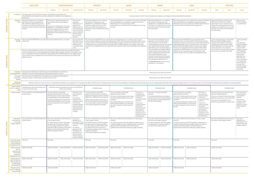|      |                                                                                            | <b>EXECUTIVE</b>                                                                                                                                                                                                                                                                                                                                                                                                                           |                                                                                                                                                                                                                 | <b>COMPREHENSIVE</b>                                                                                                                                                                                      |                                                                                                                                                                                                                  | <b>PRIORITY</b>                                                                                                                                                                                                                                                                                                                                                                                                                                                                                                               |                                                                                                                                                                                                                                                                                                                                                                                                                                                                                                                                                                                                    | <b>SAVER</b>                                                                                                                                                                                                                                                                              |                                                                                                                                                                                                                                                                                                                                                                                                                                                                                                                                                                             |                                                                                                                                                                                                                                  | <b>SMART</b>                                                                                                                |                                                                                                                                                                                                                                            | <b>CORE</b>                                                                                                                                                                                                                                                                                |                                                                                                                                                                                                                                                                        |                                                                 | <b>KEYCARE</b>                                                                                                                                                              |                                                                                                                                                                               |
|------|--------------------------------------------------------------------------------------------|--------------------------------------------------------------------------------------------------------------------------------------------------------------------------------------------------------------------------------------------------------------------------------------------------------------------------------------------------------------------------------------------------------------------------------------------|-----------------------------------------------------------------------------------------------------------------------------------------------------------------------------------------------------------------|-----------------------------------------------------------------------------------------------------------------------------------------------------------------------------------------------------------|------------------------------------------------------------------------------------------------------------------------------------------------------------------------------------------------------------------|-------------------------------------------------------------------------------------------------------------------------------------------------------------------------------------------------------------------------------------------------------------------------------------------------------------------------------------------------------------------------------------------------------------------------------------------------------------------------------------------------------------------------------|----------------------------------------------------------------------------------------------------------------------------------------------------------------------------------------------------------------------------------------------------------------------------------------------------------------------------------------------------------------------------------------------------------------------------------------------------------------------------------------------------------------------------------------------------------------------------------------------------|-------------------------------------------------------------------------------------------------------------------------------------------------------------------------------------------------------------------------------------------------------------------------------------------|-----------------------------------------------------------------------------------------------------------------------------------------------------------------------------------------------------------------------------------------------------------------------------------------------------------------------------------------------------------------------------------------------------------------------------------------------------------------------------------------------------------------------------------------------------------------------------|----------------------------------------------------------------------------------------------------------------------------------------------------------------------------------------------------------------------------------|-----------------------------------------------------------------------------------------------------------------------------|--------------------------------------------------------------------------------------------------------------------------------------------------------------------------------------------------------------------------------------------|--------------------------------------------------------------------------------------------------------------------------------------------------------------------------------------------------------------------------------------------------------------------------------------------|------------------------------------------------------------------------------------------------------------------------------------------------------------------------------------------------------------------------------------------------------------------------|-----------------------------------------------------------------|-----------------------------------------------------------------------------------------------------------------------------------------------------------------------------|-------------------------------------------------------------------------------------------------------------------------------------------------------------------------------|
|      |                                                                                            |                                                                                                                                                                                                                                                                                                                                                                                                                                            | Classic                                                                                                                                                                                                         | <b>Essential</b>                                                                                                                                                                                          | <b>Classic Smart</b>                                                                                                                                                                                             | Essential<br>Classic                                                                                                                                                                                                                                                                                                                                                                                                                                                                                                          | Classic                                                                                                                                                                                                                                                                                                                                                                                                                                                                                                                                                                                            | <b>Essential</b>                                                                                                                                                                                                                                                                          | Coastal                                                                                                                                                                                                                                                                                                                                                                                                                                                                                                                                                                     | Classic                                                                                                                                                                                                                          | <b>Essential</b>                                                                                                            | Classic                                                                                                                                                                                                                                    | <b>Essential</b>                                                                                                                                                                                                                                                                           | Coastal                                                                                                                                                                                                                                                                | Plus                                                            | Core                                                                                                                                                                        | <b>Start</b>                                                                                                                                                                  |
|      | Conditions                                                                                 | You have cover for the 27 Chronic Disease List conditions according to the<br>Prescribed Minimum Benefits list as well as additional conditions on our Additional<br>Disease List.                                                                                                                                                                                                                                                         |                                                                                                                                                                                                                 |                                                                                                                                                                                                           |                                                                                                                                                                                                                  |                                                                                                                                                                                                                                                                                                                                                                                                                                                                                                                               |                                                                                                                                                                                                                                                                                                                                                                                                                                                                                                                                                                                                    |                                                                                                                                                                                                                                                                                           | You have cover for the 27 Chronic Disease List conditions according to the Prescribed Minimum Benefits                                                                                                                                                                                                                                                                                                                                                                                                                                                                      |                                                                                                                                                                                                                                  |                                                                                                                             |                                                                                                                                                                                                                                            |                                                                                                                                                                                                                                                                                            |                                                                                                                                                                                                                                                                        |                                                                 |                                                                                                                                                                             |                                                                                                                                                                               |
|      | cover                                                                                      | Medicine   Approved medicine on our medicine<br>list covered in full (not applicable to<br>ADL conditions). Medicine not on our<br>list paid up to 100% of the DHR up to a<br>maximum of the monthly Chronic Drug<br>Amount.                                                                                                                                                                                                               | Full cover for approved medicine on<br>our medicine list (not applicable to<br>ADL).<br>MedXpress or a MedXpress network<br>pharmacy. Medicine not on our list<br>paid up to 100% of the DHR up to a<br>Amount. | Full cover for Delta options if you use<br>maximum of the monthly Chronic Drug                                                                                                                            | Full cover for<br>approved<br>medicine on our<br>medicine list.<br>Medicine not on<br>our list paid up to<br>100% of the DHR<br>up to a maximum<br>of the monthly<br>Chronic Drug<br>Amount.                     | Approved medicine on our medicine<br>list covered in full when you use<br>MedXpress or a MedXpress network<br>pharmacy. Medicine not on our list<br>paid up to 100% of the DHR up to a<br>maximum of the monthly Chronic Drug<br>Amount.                                                                                                                                                                                                                                                                                      | Approved medicine on our medicine list covered in full when<br>Approved medicine on our medicine<br>you use MedXpress or a MedXpress network pharmacy.<br>list covered in full when you use<br>Medicine not on our list paid up to 100%<br>MedXpress or a MedXpress Network<br>Pharmacy. For medicine not on our list,<br>of the DHR up to a maximum of the monthly Chronic Drug<br>Amount.<br>we cover up to the cost of the lowest<br>formulary drug.<br>We cover the first R200 000 of your approved cancer treatment over a 12-month cycle in full. All<br>We cover the first R200 000 of your |                                                                                                                                                                                                                                                                                           |                                                                                                                                                                                                                                                                                                                                                                                                                                                                                                                                                                             | Approved medicine on our medicine list covered in full when<br>you use MedXpress or a MedXpress network pharmacy.<br>Medicines not on our list paid up to 100% of the DHR up to a<br>maximum of the monthly Chronic Drug Amount. |                                                                                                                             | Approved medicine covered in full<br>when you use one of our network<br>pharmacies or your chosen GP. Your<br>formulary drug.                                                                                                              | chosen GP must prescribe the chronic<br>medicine. For medicine not on our list,<br>we cover up to the cost of the lowest                                                                                                                                                                   | We cover your<br>: chronic medicine<br>in a state facility.                                                                                                                                                                                                            |                                                                 |                                                                                                                                                                             |                                                                                                                                                                               |
|      |                                                                                            | Oncology   We cover the first R400 000 of your approved cancer treatment over a 12-month<br>Benefit   cycle in full.                                                                                                                                                                                                                                                                                                                       |                                                                                                                                                                                                                 |                                                                                                                                                                                                           | We cover the first<br>R300 000 of your<br>approved cancer<br>treatment over<br>a 12-month cycle<br>in full.                                                                                                      | cancer-related healthcare services are covered up to 100% of the Discovery Health Rate (DHR). Cancer<br>treatment that is a Prescribed Minimum Benefit (PMB) is always covered in full, subject to the use of<br>a designated service provider (DSP), where applicable. All PMB treatment costs add up to the cover<br>amount. If your treatment costs more than the cover amount, we will cover up to 80% of the additional<br>costs.                                                                                        |                                                                                                                                                                                                                                                                                                                                                                                                                                                                                                                                                                                                    |                                                                                                                                                                                                                                                                                           | We cover the first R200 000 of your approved cancer<br>approved cancer treatment over a<br>treatment over a 12-month cycle in full. All cancer-related<br>12-month cycle in full. All cancer-<br>healthcare services are covered up to 100% of the Discovery<br>Health Rate (DHR). Cancer treatment that is a Prescribed<br>related healthcare services are covered<br>up to 100% of the Discovery Health<br>Minimum Benefit (PMB) is always covered in full, subject<br>Rate (DHR). Cancer treatment that is a<br>to the use of a designated service provider (DSP), where |                                                                                                                                                                                                                                  |                                                                                                                             | Minimum Benefit (PMB) is always<br>covered in full, subject to the use of<br>a designated service provider (DSP),<br>cancer treatment in our network.                                                                                      | Cancer treatment that is a Prescribed<br>where applicable. You have cover for                                                                                                                                                                                                              | : Cancer treatment<br>that<br>:is a Prescribed<br>Minimum Benefit<br>: (PMB) is always<br>covered in full,                                                                                                                                                             |                                                                 |                                                                                                                                                                             |                                                                                                                                                                               |
| COVE |                                                                                            | All cancer-related healthcare services are covered up to 100% of the Discovery Health Rate (DHR).<br>Cancer treatment that is a Prescribed Minimum Benefit (PMB) is always covered in full, subject to the<br>use of a designated service provider (DSP), where applicable. All PMB treatment costs add up to the<br>cover amount. If your treatment costs more than the cover amount, we will cover up to 80% of the<br>additional costs. |                                                                                                                                                                                                                 |                                                                                                                                                                                                           |                                                                                                                                                                                                                  | applicable. All PMB treatment costs add up to the cover<br>Prescribed Minimum Benefit (PMB) is<br>always covered in full, subject to the<br>amount. If your treatment costs more than the cover<br>use of a designated service provider<br>amount, we will cover up to 80% of the additional costs.<br>(DSP), where applicable. If your<br>treatment costs more than the cover<br>amount, you will need to pay 20% of<br>the subsequent additional costs.<br>On Essential Smart, we cover cancer<br>treatment in our network. |                                                                                                                                                                                                                                                                                                                                                                                                                                                                                                                                                                                                    |                                                                                                                                                                                                                                                                                           |                                                                                                                                                                                                                                                                                                                                                                                                                                                                                                                                                                             | If you choose to use any other provider,<br>: subject to the use<br>we will cover up to 80% of the DHR.                                                                                                                          |                                                                                                                             | of a designated<br>service provider<br>(DSP), where<br>applicable. You<br>have cover for<br>cancer treatment<br>$\cdot$ in a state facility.<br>If you choose to<br>use any other<br>provider, we will<br>cover up to 80%<br>; of the DHR. |                                                                                                                                                                                                                                                                                            |                                                                                                                                                                                                                                                                        |                                                                 |                                                                                                                                                                             |                                                                                                                                                                               |
|      | Oncology Benefit                                                                           | Extended   Once you have reached your cover limit, you have extended cover in full for a<br>defined list of cancers and treatments that meet the Scheme's criteria.                                                                                                                                                                                                                                                                        |                                                                                                                                                                                                                 |                                                                                                                                                                                                           |                                                                                                                                                                                                                  |                                                                                                                                                                                                                                                                                                                                                                                                                                                                                                                               |                                                                                                                                                                                                                                                                                                                                                                                                                                                                                                                                                                                                    |                                                                                                                                                                                                                                                                                           |                                                                                                                                                                                                                                                                                                                                                                                                                                                                                                                                                                             |                                                                                                                                                                                                                                  | These plans do not offer this benefit.                                                                                      |                                                                                                                                                                                                                                            |                                                                                                                                                                                                                                                                                            |                                                                                                                                                                                                                                                                        |                                                                 |                                                                                                                                                                             |                                                                                                                                                                               |
|      | Oncology<br>Innovation<br>Benefit                                                          | You have cover for a defined list of innovative cancer medicines that meet the<br>Scheme's criteria. You will need to pay 25% of the account.                                                                                                                                                                                                                                                                                              |                                                                                                                                                                                                                 |                                                                                                                                                                                                           |                                                                                                                                                                                                                  |                                                                                                                                                                                                                                                                                                                                                                                                                                                                                                                               |                                                                                                                                                                                                                                                                                                                                                                                                                                                                                                                                                                                                    |                                                                                                                                                                                                                                                                                           |                                                                                                                                                                                                                                                                                                                                                                                                                                                                                                                                                                             |                                                                                                                                                                                                                                  | These plans do not offer this benefit.                                                                                      |                                                                                                                                                                                                                                            |                                                                                                                                                                                                                                                                                            |                                                                                                                                                                                                                                                                        |                                                                 |                                                                                                                                                                             |                                                                                                                                                                               |
|      | Advanced<br>Illness Benefit                                                                |                                                                                                                                                                                                                                                                                                                                                                                                                                            |                                                                                                                                                                                                                 |                                                                                                                                                                                                           |                                                                                                                                                                                                                  | Members with cancer have access to a comprehensive palliative care programme. This programme offers unlimited cover for approved care at home, care coordination, counselling services and supportive care for appropriate end                                                                                                                                                                                                                                                                                                |                                                                                                                                                                                                                                                                                                                                                                                                                                                                                                                                                                                                    |                                                                                                                                                                                                                                                                                           |                                                                                                                                                                                                                                                                                                                                                                                                                                                                                                                                                                             |                                                                                                                                                                                                                                  |                                                                                                                             |                                                                                                                                                                                                                                            |                                                                                                                                                                                                                                                                                            |                                                                                                                                                                                                                                                                        |                                                                 |                                                                                                                                                                             |                                                                                                                                                                               |
|      | Private hospital<br>cover in a general<br>ward                                             | Unlimited cover plus private ward cover up to R2 220 per<br>Jnlimited cover plus private ward cover<br>of up to R2 220 each day.<br>day for your delivery.                                                                                                                                                                                                                                                                                 |                                                                                                                                                                                                                 |                                                                                                                                                                                                           | Unlimited cover                                                                                                                                                                                                  |                                                                                                                                                                                                                                                                                                                                                                                                                                                                                                                               | Unlimited cover                                                                                                                                                                                                                                                                                                                                                                                                                                                                                                                                                                                    |                                                                                                                                                                                                                                                                                           |                                                                                                                                                                                                                                                                                                                                                                                                                                                                                                                                                                             | Unlimited cover                                                                                                                                                                                                                  |                                                                                                                             | Unlimited cover                                                                                                                                                                                                                            |                                                                                                                                                                                                                                                                                            |                                                                                                                                                                                                                                                                        | Unlimited cover                                                 |                                                                                                                                                                             |                                                                                                                                                                               |
|      | Private hospital                                                                           | You are covered in any facility approved<br>by the Scheme.                                                                                                                                                                                                                                                                                                                                                                                 | You are covered in any facility<br>approved by the Scheme. Full cover<br>R8 700.                                                                                                                                | on Delta options when using the Delta<br>Hospital Network of private hospitals.<br>For planned admissions outside of the<br>Delta Hospital Network, you must pay<br>an upfront payment to the hospital of | Full cover in the<br>Smart Hospital<br>Network.<br>For planned<br>admissions at<br>hospitals outside<br>of the Smart<br>Hospital Network,<br>you must pay an<br>upfront payment<br>of R9 950 to the<br>hospital. | You are covered in any facility<br>approved by the Scheme. An upfront<br>payment of between R3 850 to R18 600<br>applies for a defined list of procedures.<br>Where these procedures form part of<br>the list of procedures to be performed<br>in our day surgery network, the higher<br>of the upfront payments will apply.                                                                                                                                                                                                  | You are covered in any facility<br>approved by the Scheme.<br>the Delta Hospital Network of private<br>hospitals.<br>For planned admissions outside of the<br>Delta Hospital Network, you must pay<br>an upfront payment to the hospital of<br>R8 700.                                                                                                                                                                                                                                                                                                                                             | Full cover on Delta options when using                                                                                                                                                                                                                                                    | Full cover in<br>any approved<br>private hospital<br>in the four<br>coastal provinces<br>network.<br>If you use a<br>hospital outside<br>the coastal<br>network, we pay<br>up to 70% of<br>the DHR of the<br>hospital account<br>and you must pay<br>the difference.                                                                                                                                                                                                                                                                                                        | Full cover in the Smart Hospital<br>Network.<br>For planned admissions at hospitals<br>R9 950 to the hospital.                                                                                                                   | outside of the Smart Hospital Network,<br>you must pay an upfront payment of                                                | You are covered in any facility<br>approved by the Scheme.<br>hospitals.<br>R8 700.                                                                                                                                                        | Full cover on Delta options when using<br>the Delta Hospital Network of private<br>For planned admissions outside of the<br>Delta Hospital Network, you must pay<br>an upfront payment to the hospital of                                                                                  | Full cover in<br>any approved<br>private hospital<br>in the four<br>coastal provinces<br>network.<br>If you use a<br>hospital outside<br>the coastal<br>network, we pay<br>up to 70% of<br>∶ the DHR of the<br>hospital account<br>and you must pay<br>the difference. | KeyCare Hospital Network.<br>If you do not use hospitals in the | Full cover if you use a hospital in the<br>If you use a hospital in the Partial Cover<br>Network, we pay up to 70% of the DHR.<br>networks, you will have to pay all costs. | Full cover at your<br>chosen KeyCare<br>Start Network<br>hospital.<br>If you do not<br>: use your chosen<br>hospital in the<br>network, you will<br>have to pay all<br>costs. |
|      | in our day<br>surgery network                                                              | Defined list   You are covered in any facility approved<br>of procedures   by the Scheme.                                                                                                                                                                                                                                                                                                                                                  | a day surgery facility.<br>for admission to a facility outside of<br>options, if performed outside of the<br>Delta day surgery network.                                                                         | We cover a defined list of procedures in $\cdot$ We cover a<br>An upfront payment of R5 700 applies<br>the day surgery network. An upfront<br>payment of R8 700 applies on the Delta                      | defined list of<br>procedures in the<br>Smart day surgery<br>network.<br>An upfront<br>payment of R9<br>950 applies for<br>admissions to a<br>facility outside<br>of the Smart day<br>surgery network.           | We cover a defined list of procedures in<br>a day surgery network.<br>An upfront payment of R5 700 applies<br>for admissions to a facility outside of<br>the day surgery network. Where these<br>procedures form part of the list of<br>in-hospital procedures with an upfront<br>payment, the higher<br>of the upfront payments will apply.                                                                                                                                                                                  | network.                                                                                                                                                                                                                                                                                                                                                                                                                                                                                                                                                                                           | We cover a defined list of procedures in a day surgery<br>An upfront payment of R5 700 applies for admissions to<br>a facility outside of the day surgery network. An upfront<br>payment of R8 700 applies on the Delta options,<br>f performed outside of the Delta day surgery network. |                                                                                                                                                                                                                                                                                                                                                                                                                                                                                                                                                                             | the Smart day surgery network.<br>the Smart day surgery network.                                                                                                                                                                 | We cover a defined list of procedures in<br>An upfront payment of R9 950 applies<br>for admissions to a facility outside of | network.                                                                                                                                                                                                                                   | We cover a defined list of procedures in a day surgery<br>An upfront payment of R5 700 applies for admissions to<br>a facility outside of the day surgery network. An upfront<br>payment of R8 700 applies on the Delta options,<br>if performed outside of the Delta day surgery network. |                                                                                                                                                                                                                                                                        | the KeyCare day surgery network.                                | We cover a defined list of procedures in $\cdot$ We cover a                                                                                                                 | defined list of<br>procedures in the<br>KeyCare Start day<br>surgery network.                                                                                                 |
|      | Full cover option   Full cover<br>for specialists we<br>have a payment<br>arrangement with |                                                                                                                                                                                                                                                                                                                                                                                                                                            | Full cover                                                                                                                                                                                                      |                                                                                                                                                                                                           |                                                                                                                                                                                                                  | Full cover                                                                                                                                                                                                                                                                                                                                                                                                                                                                                                                    | Full cover                                                                                                                                                                                                                                                                                                                                                                                                                                                                                                                                                                                         |                                                                                                                                                                                                                                                                                           |                                                                                                                                                                                                                                                                                                                                                                                                                                                                                                                                                                             | Full cover                                                                                                                                                                                                                       |                                                                                                                             | Full cover                                                                                                                                                                                                                                 |                                                                                                                                                                                                                                                                                            |                                                                                                                                                                                                                                                                        | Full cover                                                      |                                                                                                                                                                             |                                                                                                                                                                               |
|      | rate*for<br>specialists we<br>do not have<br>a payment<br>arrangement with                 | Reimbursement   300% of the DHR                                                                                                                                                                                                                                                                                                                                                                                                            | 200% of the DHR                                                                                                                                                                                                 | : 100% of the DHR : 200% of the DHR                                                                                                                                                                       |                                                                                                                                                                                                                  | 200% of the DHR : 100% of the DHR                                                                                                                                                                                                                                                                                                                                                                                                                                                                                             | 200% of the DHR : 100% of the DHR                                                                                                                                                                                                                                                                                                                                                                                                                                                                                                                                                                  |                                                                                                                                                                                                                                                                                           |                                                                                                                                                                                                                                                                                                                                                                                                                                                                                                                                                                             | 200% of the DHR                                                                                                                                                                                                                  | : 100% of the DHR                                                                                                           | 200% of the DHR                                                                                                                                                                                                                            | : 100% of the DHR                                                                                                                                                                                                                                                                          |                                                                                                                                                                                                                                                                        | 100% of the DHR                                                 |                                                                                                                                                                             |                                                                                                                                                                               |
|      | rate* for GPs and<br>other healthcare<br>professionals<br>(not specialists)                | Reimbursement   200% of the DHR                                                                                                                                                                                                                                                                                                                                                                                                            | 200% of the DHR                                                                                                                                                                                                 | 100% of the DHR                                                                                                                                                                                           | : 200% of the DHR                                                                                                                                                                                                | 200% of the DHR<br>100% of the DHR                                                                                                                                                                                                                                                                                                                                                                                                                                                                                            | 200% of the DHR                                                                                                                                                                                                                                                                                                                                                                                                                                                                                                                                                                                    | 100% of the DHR                                                                                                                                                                                                                                                                           |                                                                                                                                                                                                                                                                                                                                                                                                                                                                                                                                                                             | 200% of the DHR                                                                                                                                                                                                                  | 100% of the DHR                                                                                                             | 200% of the DHR                                                                                                                                                                                                                            | 100% of the DHR                                                                                                                                                                                                                                                                            |                                                                                                                                                                                                                                                                        | 100% of the DHR                                                 |                                                                                                                                                                             |                                                                                                                                                                               |
|      | rate* for radiology<br>and pathology                                                       | Reimbursement   100% of the DHR                                                                                                                                                                                                                                                                                                                                                                                                            | 100% of the DHR                                                                                                                                                                                                 |                                                                                                                                                                                                           |                                                                                                                                                                                                                  | 100% of the DHR                                                                                                                                                                                                                                                                                                                                                                                                                                                                                                               | 100% of the DHR                                                                                                                                                                                                                                                                                                                                                                                                                                                                                                                                                                                    |                                                                                                                                                                                                                                                                                           |                                                                                                                                                                                                                                                                                                                                                                                                                                                                                                                                                                             | 100% of the DHR                                                                                                                                                                                                                  |                                                                                                                             | 100% of the DHR                                                                                                                                                                                                                            |                                                                                                                                                                                                                                                                                            |                                                                                                                                                                                                                                                                        | 100% of the DHR                                                 |                                                                                                                                                                             |                                                                                                                                                                               |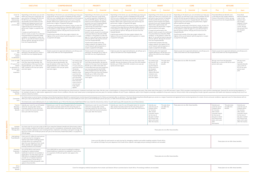|                                                                                                            | <b>EXECUTIVE</b>                                                                                                                                                                                                                                                                                                                                                                                                                                                                                                                                                                                                                                                                                | <b>COMPREHENSIVE</b>                                                                                                                                                                                                                                                                                                                                                                                                                                                                                                                                                                                                                                                                                                                                              |                                                                                                                                                                                                                                                                                                            | <b>PRIORITY</b>                                                                                                                                                                                                                                                                                                                                                                                                                                                                                                                                                                                                                                                                                                                                                | <b>SAVER</b>                                                                                                                                                                                                                                                                                                                                                                                                                                                                                                                                                                                                                                                                                                                                                      |         |                                                                                                                                                                                                                                                                                                                                                                                                                                                                                                                                                                                                                                                                                       | <b>SMART</b>                                                                  |                                                                            | <b>CORE</b>                                                                                                                                                                                                                                                                                                                                                                                                                                                                                                                                                                                                                                                         |         | <b>KEYCARE</b>                                                                                                                                                                                                    |                                              |                                                                                                                                                                                                              |
|------------------------------------------------------------------------------------------------------------|-------------------------------------------------------------------------------------------------------------------------------------------------------------------------------------------------------------------------------------------------------------------------------------------------------------------------------------------------------------------------------------------------------------------------------------------------------------------------------------------------------------------------------------------------------------------------------------------------------------------------------------------------------------------------------------------------|-------------------------------------------------------------------------------------------------------------------------------------------------------------------------------------------------------------------------------------------------------------------------------------------------------------------------------------------------------------------------------------------------------------------------------------------------------------------------------------------------------------------------------------------------------------------------------------------------------------------------------------------------------------------------------------------------------------------------------------------------------------------|------------------------------------------------------------------------------------------------------------------------------------------------------------------------------------------------------------------------------------------------------------------------------------------------------------|----------------------------------------------------------------------------------------------------------------------------------------------------------------------------------------------------------------------------------------------------------------------------------------------------------------------------------------------------------------------------------------------------------------------------------------------------------------------------------------------------------------------------------------------------------------------------------------------------------------------------------------------------------------------------------------------------------------------------------------------------------------|-------------------------------------------------------------------------------------------------------------------------------------------------------------------------------------------------------------------------------------------------------------------------------------------------------------------------------------------------------------------------------------------------------------------------------------------------------------------------------------------------------------------------------------------------------------------------------------------------------------------------------------------------------------------------------------------------------------------------------------------------------------------|---------|---------------------------------------------------------------------------------------------------------------------------------------------------------------------------------------------------------------------------------------------------------------------------------------------------------------------------------------------------------------------------------------------------------------------------------------------------------------------------------------------------------------------------------------------------------------------------------------------------------------------------------------------------------------------------------------|-------------------------------------------------------------------------------|----------------------------------------------------------------------------|---------------------------------------------------------------------------------------------------------------------------------------------------------------------------------------------------------------------------------------------------------------------------------------------------------------------------------------------------------------------------------------------------------------------------------------------------------------------------------------------------------------------------------------------------------------------------------------------------------------------------------------------------------------------|---------|-------------------------------------------------------------------------------------------------------------------------------------------------------------------------------------------------------------------|----------------------------------------------|--------------------------------------------------------------------------------------------------------------------------------------------------------------------------------------------------------------|
|                                                                                                            |                                                                                                                                                                                                                                                                                                                                                                                                                                                                                                                                                                                                                                                                                                 | <b>Classic</b><br><b>Essential</b>                                                                                                                                                                                                                                                                                                                                                                                                                                                                                                                                                                                                                                                                                                                                | <b>Classic Smart</b>                                                                                                                                                                                                                                                                                       | <b>Essential</b><br>Classic                                                                                                                                                                                                                                                                                                                                                                                                                                                                                                                                                                                                                                                                                                                                    | <b>Essential</b><br>Classic                                                                                                                                                                                                                                                                                                                                                                                                                                                                                                                                                                                                                                                                                                                                       | Coastal | Classic                                                                                                                                                                                                                                                                                                                                                                                                                                                                                                                                                                                                                                                                               | <b>Essential</b>                                                              | Classic                                                                    | <b>Essential</b>                                                                                                                                                                                                                                                                                                                                                                                                                                                                                                                                                                                                                                                    | Coastal | Plus                                                                                                                                                                                                              | Core                                         | <b>Start</b>                                                                                                                                                                                                 |
| Cover for<br>scopes<br>(gastroscopy,<br>colonoscopy,<br>sigmoidoscopy<br>and<br>proctoscopy)               | Depending on the doctor you use and<br>where you have your scope done, we<br>pay a portion of between R3 650 and<br>R5 300 from your available day-to-<br>day benefits and the balance of the<br>hospital and related accounts from<br>your Hospital Benefit. Where both<br>a gastroscopy and colonoscopy are<br>performed, a higher co-payment will<br>apply.<br>If scopes are performed in the<br>doctor's rooms, as part of a confirmed<br>Prescribed Minimum Benefits (PMB)<br>condition, or the patient is under the<br>age of 12, you will not have to pay any<br>amount upfront. We pay the account<br>from the Hospital Benefit.                                                        | Depending on the doctor you use and where you have you<br>scope done, we pay a portion of between R3 650 and R5<br>300 from your available day-to-day benefits and the balance<br>of the hospital and related accounts from your Hospital<br>Benefit. Where both a gastroscopy and colonoscopy are<br>performed, a higher co-payment will apply.<br>If scopes are performed in the doctor's rooms, as part of a<br>confirmed Prescribed Minimum Benefits (PMB) condition,<br>or the patient is under the age of 12, you will not have to<br>pay any amount upfront. We pay the account from the<br>Hospital Benefit.<br>If performed outside of the day surgery network, the<br>highest of the out-of-network upfront payment or scopes<br>co-payment will apply. |                                                                                                                                                                                                                                                                                                            | Depending on the doctor you use and<br>where you have your scope done,<br>an upfront payment of between R3<br>650 and R5 900 applies. We pay the<br>balance of the hospital and related<br>accounts from your Hospital Benefit.<br>When both a gastroscopy and<br>colonoscopy are performed, a higher<br>upfront payment will apply.<br>If scopes are performed in the<br>doctor's rooms, as part of a confirmed<br>Prescribed Minimum Benefits (PMB)<br>condition, or the patient is under the<br>age of 12, you will not have to pay any<br>amount upfront. We pay the account<br>from the Hospital Benefit.<br>If performed outside of the day<br>surgery network, the highest of the<br>out-of-network upfront payment or<br>scopes co-payment will apply. | Depending on the doctor you use and where you have your<br>scope done, we pay a portion of between R3 650 and R6<br>250 from your available day-to-day benefits and the balance<br>of the hospital and related accounts from your Hospital<br>Benefit. Where both a gastroscopy and colonoscopy are<br>performed, a higher co-payment will apply.<br>If scopes are performed in the doctor's rooms, as part of a<br>confirmed Prescribed Minimum Benefits (PMB) condition,<br>or the patient is under the age of 12, you will not have to<br>pay any amount upfront. We pay the account from the<br>Hospital Benefit.<br>f performed outside of the day surgery network, the<br>highest of the out-of-network upfront payment or scopes<br>co-payment will apply. |         | Depending on the doctor you use and<br>will have to pay a portion of between<br>R3 650 and R6 250 and we pay the<br>balance of the hospital and related<br>accounts from your Hospital Benefit.<br>Where both a gastroscopy and<br>colonoscopy are performed, a higher<br>upfront payment will apply.<br>If scopes are performed in the<br>Prescribed Minimum Benefits (PMB)<br>condition, or the patient is under the<br>age of 12, you will not have to pay any<br>amount upfront. We pay the account<br>from the Hospital Benefit.<br>If performed outside of the day<br>surgery network, the highest of the<br>out-of-network upfront payment or<br>scopes co-payment will apply. | where you have your scope done, you<br>doctor's rooms, as part of a confirmed | upfront payment will apply.<br>Hospital Benefit.<br>co-payment will apply. | Depending on the doctor you use and where you have your<br>scope done, you will have to pay a portion between R3 650<br>and R6 250 and we pay the balance of the hospital and<br>related accounts from your Hospital Benefit. Where both<br>a gastroscopy and colonoscopy are performed, a higher<br>If scopes are performed in the doctor's rooms, as part of a<br>confirmed Prescribed Minimum Benefits (PMB) condition,<br>or the patient is under the age of 12, you will not have to<br>pay any amount upfront. We pay the account from the<br>If performed outside of the day surgery network, the<br>highest of the out-of-network upfront payment or scopes |         | Prescribed Minimum Benefit cover,<br>in the KeyCare Day Surgery Network.<br>If done in the doctor's rooms, we pay<br>the account from the Hospital Benefit.                                                       |                                              | Prescribed<br>Minimum Benefit<br>cover, in the<br>KeyCare Start<br>Day Surgery<br>Network. If done<br>in the doctor's<br>rooms, we pay<br>the account from<br>the Hospital<br>Benefit.                       |
| Cover for MRI<br>and<br>CT scans<br>related<br>to admission                                                | If done as part of an approved<br>If done as part of an approved admission, we will pay up to<br>If done as part of an approved admission, we will pay up to<br>If done as part of an approved<br>If done as part of an approved<br>If done as part of an approved admission, we will pay up to<br>admission, we will pay up to 100% of<br>100% of the DHR from the Hospital Benefit.<br>100% of the DHR from the Hospital Benefit.<br>hospital admission, we will pay up to<br>100% of the DHR from the Hospital Benefit.<br>admission, we will pay up to 100% of<br>100% of the DHR from the Hospital<br>the DHR from the Hospital Benefit.<br>the DHR from the Hospital Benefit.<br>Benefit. |                                                                                                                                                                                                                                                                                                                                                                                                                                                                                                                                                                                                                                                                                                                                                                   |                                                                                                                                                                                                                                                                                                            | If done as part of an approved admission, we will pay up to<br>100% of the DHR from the Hospital Benefit.                                                                                                                                                                                                                                                                                                                                                                                                                                                                                                                                                                                                                                                      |                                                                                                                                                                                                                                                                                                                                                                                                                                                                                                                                                                                                                                                                                                                                                                   |         |                                                                                                                                                                                                                                                                                                                                                                                                                                                                                                                                                                                                                                                                                       |                                                                               |                                                                            |                                                                                                                                                                                                                                                                                                                                                                                                                                                                                                                                                                                                                                                                     |         |                                                                                                                                                                                                                   |                                              |                                                                                                                                                                                                              |
| Cover for MRI<br>and<br>CT scans if not<br>related<br>to admission or<br>for back and<br>neck<br>treatment | We pay the first R3 130 of the scan<br>from your day-to-day benefits. We<br>pay the balance of the scan from the<br>Hospital Benefit, up to 100% of the<br>DHR. Limited to one scan per spinal<br>and neck region.                                                                                                                                                                                                                                                                                                                                                                                                                                                                              | We pay the first R3 130 of the scan<br>from your day-to-day benefits. We<br>pay the balance of the scan from the<br>Hospital Benefit, up to 100% of the<br>DHR. Limited to one scan per spinal<br>and neck region.                                                                                                                                                                                                                                                                                                                                                                                                                                                                                                                                                | You need to pay<br>the first R3 130<br>of your MRI or<br>CT scan until you<br>reach the Annual<br>Threshold.<br>We cover the<br>balance of the<br>scan from the<br>Hospital Benefit,<br>up to the DHR.<br>For conservative<br>back and neck<br>scans a limit of<br>one scan per<br>body region<br>applies. | We pay the first R3 130 of the scan<br>from day-to-day benefits. We pay the<br>balance of the scan from the Hospital<br>Benefit up to 100% of the DHR. For<br>conservative back and neck treatment<br>you must also pay the first R3 850<br>of the hospital account. We pay the<br>balance of the scan from the Hospital<br>Benefit up to 100% of the DHR.<br>Limited to one scan per spinal and<br>neck region.                                                                                                                                                                                                                                                                                                                                               | We pay the first R3 130 of the scan from your day-to-day<br>benefits. We pay the balance of the scan from the Hospital<br>Benefit, up to 100% of the DHR. Limited to one scan per<br>spinal and neck region.                                                                                                                                                                                                                                                                                                                                                                                                                                                                                                                                                      |         | You need to pay<br>the first R3 130<br>of the scan. We<br>pay the balance<br>of the scan from<br>the Hospital<br>Benefit, up to<br>100% of the DHR.<br>Limited to one<br>scan per spinal<br>and neck region.                                                                                                                                                                                                                                                                                                                                                                                                                                                                          | This plan does<br>not offer this<br>benefit.                                  | These plans do not offer this benefit.                                     |                                                                                                                                                                                                                                                                                                                                                                                                                                                                                                                                                                                                                                                                     |         | We pay scans from the Specialist<br>Benefit up to a limit of R4 530 for each<br>person each year.                                                                                                                 |                                              | We pay scans<br>from the<br>Specialist Benefit<br>up to a limit of<br>R2 270 for each<br>person each<br>year.                                                                                                |
| Screening and<br>Prevention<br>Benefit                                                                     | wellness network providers.                                                                                                                                                                                                                                                                                                                                                                                                                                                                                                                                                                                                                                                                     | Covers certain tests at one of our wellness network providers, like blood glucose, blood pressure, cholesterol and body mass index. We also cover a mammogram or ultrasound of the breast every two years, Pap smear every thr<br>for members 65 years or older and/or registered for certain chronic conditions. We also cover bowel cancer screening tests every two years for members between 45 and 75 years. Additional, and/or more frequent screening is                                                                                                                                                                                                                                                                                                   |                                                                                                                                                                                                                                                                                                            |                                                                                                                                                                                                                                                                                                                                                                                                                                                                                                                                                                                                                                                                                                                                                                |                                                                                                                                                                                                                                                                                                                                                                                                                                                                                                                                                                                                                                                                                                                                                                   |         |                                                                                                                                                                                                                                                                                                                                                                                                                                                                                                                                                                                                                                                                                       |                                                                               |                                                                            |                                                                                                                                                                                                                                                                                                                                                                                                                                                                                                                                                                                                                                                                     |         |                                                                                                                                                                                                                   |                                              |                                                                                                                                                                                                              |
| Connected<br>Care                                                                                          |                                                                                                                                                                                                                                                                                                                                                                                                                                                                                                                                                                                                                                                                                                 | You have access to care at home, including a Home Monitoring Device Benefit for essential home monitoring and home-based care for follow up treatment after an admission. The Home Monitoring Device Benefit gives you access<br>affect your day-to-day benefits. If you meet the scheme's clinical entry criteria, you have healthcare cover up to a limit of R4 000 per person per year, at 100% of the Discovery Health Rate (DHR)<br>The Scheme also covers defined point of care medical devices up to 75% of the Discovery Health Rate (DHR), if you meet the clinical entry criteria. You will need to pay 25% towards the cost of these devices.                                                                                                          |                                                                                                                                                                                                                                                                                                            |                                                                                                                                                                                                                                                                                                                                                                                                                                                                                                                                                                                                                                                                                                                                                                |                                                                                                                                                                                                                                                                                                                                                                                                                                                                                                                                                                                                                                                                                                                                                                   |         |                                                                                                                                                                                                                                                                                                                                                                                                                                                                                                                                                                                                                                                                                       |                                                                               |                                                                            |                                                                                                                                                                                                                                                                                                                                                                                                                                                                                                                                                                                                                                                                     |         |                                                                                                                                                                                                                   |                                              |                                                                                                                                                                                                              |
| Trauma<br>Recovery<br>Extender<br>Benefit                                                                  | Extends your cover for out-of-hospital<br>claims for recovery after certain<br>traumatic events for the rest of the<br>year in which the trauma took place,<br>and a year after the trauma.                                                                                                                                                                                                                                                                                                                                                                                                                                                                                                     | Extends your cover for out-of-hospital claims for recovery<br>after certain traumatic events for the rest of the year in<br>which the trauma took place, and a year after the trauma.                                                                                                                                                                                                                                                                                                                                                                                                                                                                                                                                                                             |                                                                                                                                                                                                                                                                                                            | Extends your cover for out-of-hospital<br>claims for recovery after certain<br>traumatic events for the rest of the<br>year in which the trauma took place,<br>and a year after the trauma.                                                                                                                                                                                                                                                                                                                                                                                                                                                                                                                                                                    | Extends your cover for out-of-hospital claims for recovery<br>after certain traumatic events for the rest of the year in<br>which the trauma took place, and a year after the trauma.                                                                                                                                                                                                                                                                                                                                                                                                                                                                                                                                                                             |         | Extends your<br>cover for out-of-<br>hospital claims<br>for recovery<br>after certain<br>traumatic events<br>for the rest of<br>the year in which<br>the trauma took<br>place, and a year<br>after the trauma.                                                                                                                                                                                                                                                                                                                                                                                                                                                                        | This plan does<br>not offer this<br>benefit.                                  |                                                                            | These plans do not offer these benefits.                                                                                                                                                                                                                                                                                                                                                                                                                                                                                                                                                                                                                            |         | Extends your<br>cover for out-of-<br>hospital claims<br>for recovery<br>after certain<br>traumatic events<br>for the rest of<br>the year in which<br>the trauma took<br>place, and a year<br>after<br>the trauma. | This plan does<br>not offer this<br>benefit. | Extends your<br>cover for out-of<br>hospital claims<br>for recovery<br>after certain<br>traumatic event<br>for the rest of<br>the year in which<br>the trauma took<br>place, and a year<br>after the trauma. |
| Assisted<br>Reproductive<br>Therapy (Art)                                                                  | 25% will apply.                                                                                                                                                                                                                                                                                                                                                                                                                                                                                                                                                                                                                                                                                 | You have cover for up to two cycles of ART if you meet the Scheme's benefit and clinical entry criteria.<br>Cover includes a basket of care which includes cover for consultations, ultrasounds, oocyte retrieval,<br>embryo transfers, admission costs including lab fees, medication and embryo and sperm storage. We<br>pay up to a limit of R110 000 per person per year at the Discovery Health Rate (DHR). A co-payment of                                                                                                                                                                                                                                                                                                                                  |                                                                                                                                                                                                                                                                                                            |                                                                                                                                                                                                                                                                                                                                                                                                                                                                                                                                                                                                                                                                                                                                                                |                                                                                                                                                                                                                                                                                                                                                                                                                                                                                                                                                                                                                                                                                                                                                                   |         |                                                                                                                                                                                                                                                                                                                                                                                                                                                                                                                                                                                                                                                                                       | These plans do not offer these benefits.                                      |                                                                            |                                                                                                                                                                                                                                                                                                                                                                                                                                                                                                                                                                                                                                                                     |         |                                                                                                                                                                                                                   |                                              |                                                                                                                                                                                                              |
| International<br>Travel Benefit                                                                            | Cover up to \$1 million for each person<br>on each journey for emergency<br>medical costs while travelling outside<br>of South Africa, for a period of 90<br>days from your departure from South<br>Africa. Specific rules apply and pre-<br>existing conditions are excluded.                                                                                                                                                                                                                                                                                                                                                                                                                  |                                                                                                                                                                                                                                                                                                                                                                                                                                                                                                                                                                                                                                                                                                                                                                   |                                                                                                                                                                                                                                                                                                            | Cover up to R5 million for each person on each journey for emergency medical costs while travelling outside of South Africa,<br>for a period of 90 days from your departure from South Africa. Specific rules apply and pre-existing conditions are excluded.                                                                                                                                                                                                                                                                                                                                                                                                                                                                                                  |                                                                                                                                                                                                                                                                                                                                                                                                                                                                                                                                                                                                                                                                                                                                                                   |         |                                                                                                                                                                                                                                                                                                                                                                                                                                                                                                                                                                                                                                                                                       |                                                                               | These plans do not offer these benefits.                                   |                                                                                                                                                                                                                                                                                                                                                                                                                                                                                                                                                                                                                                                                     |         |                                                                                                                                                                                                                   |                                              |                                                                                                                                                                                                              |
| Overseas<br>Treatment<br>Benefit                                                                           | Up to R750 000 for each person<br>travelling for evidence-based<br>healthcare treatment not available in<br>South Africa. You also have cover for<br>R300 000 at a recognised healthcare<br>provider for in-hospital treatment<br>that is available in South Africa. A<br>co-payment of 20% and specific rules<br>apply to these benefits.                                                                                                                                                                                                                                                                                                                                                      | Up to R500 000 for each person travelling for evidence-<br>based healthcare treatment not available in South Africa.<br>A co-payment of 20% and specific rules apply to this<br>benefit.                                                                                                                                                                                                                                                                                                                                                                                                                                                                                                                                                                          |                                                                                                                                                                                                                                                                                                            |                                                                                                                                                                                                                                                                                                                                                                                                                                                                                                                                                                                                                                                                                                                                                                |                                                                                                                                                                                                                                                                                                                                                                                                                                                                                                                                                                                                                                                                                                                                                                   |         |                                                                                                                                                                                                                                                                                                                                                                                                                                                                                                                                                                                                                                                                                       | These plans do not offer these benefits.                                      |                                                                            |                                                                                                                                                                                                                                                                                                                                                                                                                                                                                                                                                                                                                                                                     |         |                                                                                                                                                                                                                   |                                              |                                                                                                                                                                                                              |
| Africa<br>Evacuation<br>Benefit                                                                            |                                                                                                                                                                                                                                                                                                                                                                                                                                                                                                                                                                                                                                                                                                 |                                                                                                                                                                                                                                                                                                                                                                                                                                                                                                                                                                                                                                                                                                                                                                   |                                                                                                                                                                                                                                                                                                            | Cover for emergency medical evacuations from certain sub-Saharan African countries back to South Africa. Pre-existing conditions are excluded.                                                                                                                                                                                                                                                                                                                                                                                                                                                                                                                                                                                                                 |                                                                                                                                                                                                                                                                                                                                                                                                                                                                                                                                                                                                                                                                                                                                                                   |         |                                                                                                                                                                                                                                                                                                                                                                                                                                                                                                                                                                                                                                                                                       |                                                                               |                                                                            |                                                                                                                                                                                                                                                                                                                                                                                                                                                                                                                                                                                                                                                                     |         |                                                                                                                                                                                                                   | These plans do not offer these benefits.     |                                                                                                                                                                                                              |

| RE                                                                                                                                                                                                                                                                                                                                                      |         |                                                                                                                                                             | <b>KEYCARE</b>                                                                                                                                                                         |                                                                                                               |  |  |  |
|---------------------------------------------------------------------------------------------------------------------------------------------------------------------------------------------------------------------------------------------------------------------------------------------------------------------------------------------------------|---------|-------------------------------------------------------------------------------------------------------------------------------------------------------------|----------------------------------------------------------------------------------------------------------------------------------------------------------------------------------------|---------------------------------------------------------------------------------------------------------------|--|--|--|
| tial                                                                                                                                                                                                                                                                                                                                                    | Coastal | <b>Plus</b>                                                                                                                                                 | Core                                                                                                                                                                                   | <b>Start</b>                                                                                                  |  |  |  |
| se and where you have your<br>y a portion between R3 650<br>ance of the hospital and<br>pital Benefit. Where both<br>are performed, a higher<br>doctor's rooms, as part of a<br>Benefits (PMB) condition,<br>of 12, you will not have to<br>ay the account from the<br>surgery network, the<br>pfront payment or scopes<br>admission, we will pay up to |         | Prescribed Minimum Benefit cover,<br>in the KeyCare Day Surgery Network.<br>If done in the doctor's rooms, we pay<br>the account from the Hospital Benefit. | Prescribed<br>Minimum Benefit<br>cover, in the<br>KeyCare Start<br>Day Surgery<br>Network. If done<br>in the doctor's<br>rooms, we pay<br>the account from<br>the Hospital<br>Benefit. |                                                                                                               |  |  |  |
| pital Benefit.                                                                                                                                                                                                                                                                                                                                          |         |                                                                                                                                                             | If done as part of an approved admission, we will pay up to<br>100% of the DHR from the Hospital Benefit.                                                                              |                                                                                                               |  |  |  |
| enefit.                                                                                                                                                                                                                                                                                                                                                 |         | We pay scans from the Specialist<br>person each year.                                                                                                       | Benefit up to a limit of R4 530 for each                                                                                                                                               | We pay scans<br>from the<br>Specialist Benefit<br>up to a limit of<br>R2 270 for each<br>person each<br>year. |  |  |  |

| benefits. | Extends your<br>cover for out-of-<br>hospital claims<br>for recovery<br>after certain<br>traumatic events<br>for the rest of<br>the year in which<br>the trauma took<br>place, and a year<br>after<br>the trauma. | This plan does<br>not offer this<br>benefit. | Extends your<br>cover for out-of-<br>hospital claims<br>for recovery<br>after certain<br>traumatic events<br>for the rest of<br>the year in which<br>the trauma took<br>place, and a year<br>after the trauma. |
|-----------|-------------------------------------------------------------------------------------------------------------------------------------------------------------------------------------------------------------------|----------------------------------------------|----------------------------------------------------------------------------------------------------------------------------------------------------------------------------------------------------------------|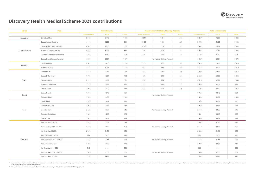| <b>Series</b>                                  | Plan                           |             | <b>Contributions</b> |         | <b>Contributions to Medical Savings Account</b>                          |                                          |         | <b>Total contributions</b> |         |         |
|------------------------------------------------|--------------------------------|-------------|----------------------|---------|--------------------------------------------------------------------------|------------------------------------------|---------|----------------------------|---------|---------|
|                                                |                                | Main member | Adult                | Child** | Main member                                                              | Adult                                    | Child** | Main member                | Adult   | Child** |
| Executive                                      | Executive Plan                 | 5 4 4 3     | 5443                 | 1 0 3 9 | 1814                                                                     | 1814                                     | 346     | 7 2 5 7                    | 7 2 5 7 | 1 3 8 5 |
|                                                | <b>Classic Comprehensive</b>   | 4466        | 4 2 2 5              | 891     | 1488                                                                     | 1408                                     | 297     | 5954                       | 5 6 3 3 | 1 1 8 8 |
|                                                | Classic Delta Comprehensive    | 4 0 2 2     | 3 8 0 8              | 802     | 1 3 4 0                                                                  | 1 2 6 9                                  | 267     | 5 3 6 2                    | 5 0 7 7 | 1 0 6 9 |
| Comprehensive                                  | <b>Essential Comprehensive</b> | 4 2 5 3     | 4022                 | 857     | 750                                                                      | 709                                      | 151     | 5 0 0 3                    | 4731    | 1 0 0 8 |
|                                                | Essential Delta Comprehensive  | 3 8 3 1     | 3619                 | 769     | 676                                                                      | 638                                      | 135     | 4507                       | 4 2 5 7 | 904     |
| Priority<br>Saver<br>Smart<br>Core<br>KeyCare* | Classic Smart Comprehensive    | 4 3 2 7     | 3994                 | 1 3 7 8 |                                                                          | No Medical Savings Account               |         | 4 3 2 7                    | 3994    | 1 3 7 8 |
|                                                | <b>Classic Priority</b>        | 2 8 6 1     | 2 2 5 6              | 1 1 4 5 | 953                                                                      | 752                                      | 381     | 3814                       | 3 0 0 8 | 1526    |
|                                                | <b>Essential Priority</b>      | 2787        | 2 1 9 1              | 1 1 1 4 | 491                                                                      | 386                                      | 196     | 3 2 7 8                    | 2577    | 1 3 1 0 |
|                                                | Classic Saver                  | 2 4 6 8     | 1947                 | 989     | 822                                                                      | 649                                      | 329     | 3 2 9 0                    | 2 5 9 6 | 1 3 1 8 |
|                                                | Classic Delta Saver            | 1971        | 1557                 | 792     | 657                                                                      | 519                                      | 264     | 2628                       | 2076    | 1 0 5 6 |
|                                                | <b>Essential Saver</b>         | 2 2 2 3     | 1667                 | 891     | 392                                                                      | 294                                      | 157     | 2615                       | 1961    | 1 0 4 8 |
|                                                | <b>Essential Delta Saver</b>   | 1773        | 1 3 3 9              | 712     | 312                                                                      | 236                                      | 125     | 2085                       | 1 5 7 5 | 837     |
|                                                | Coastal Saver                  | 2 0 8 7     | 1570                 | 843     | 521                                                                      | 392<br>210<br>No Medical Savings Account |         | 2608                       | 1962    | 1 0 5 3 |
|                                                | Classic Smart                  | 1954        | 1 5 4 2              | 781     |                                                                          |                                          |         | 1954                       | 1 5 4 2 | 781     |
|                                                | <b>Essential Smart</b>         | 1 400       | 1400                 | 1 400   |                                                                          |                                          |         | 1400                       | 1400    | 1400    |
|                                                | Classic Core                   | 2 4 4 9     | 1931                 | 980     |                                                                          |                                          |         | 2 4 4 9                    | 1931    | 980     |
|                                                | Classic Delta Core             | 1960        | 1 5 4 5              | 784     |                                                                          |                                          |         | 1960                       | 1 5 4 5 | 784     |
|                                                | <b>Essential Core</b>          | 2 1 0 4     | 1577                 | 846     |                                                                          | No Medical Savings Account               |         | 2 1 0 4                    | 1577    | 846     |
|                                                | <b>Essential Delta Core</b>    | 1681        | 1 2 6 5              | 675     |                                                                          |                                          |         | 1681                       | 1 2 6 5 | 675     |
|                                                | Coastal Core                   | 1946        | 1462                 | 774     |                                                                          |                                          |         | 1946                       | 1462    | 774     |
|                                                | KeyCare Plus 0 - 8 550         | 1 2 0 7     | 1 2 0 7              | 439     |                                                                          |                                          |         | 1 2 0 7                    | 1 2 0 7 | 439     |
|                                                | KeyCare Plus 8 551 - 13 800    | 1659        | 1659                 | 468     |                                                                          |                                          |         | 1659                       | 1659    | 468     |
|                                                | KeyCare Plus 13 801+           | 2 4 5 0     | 2 4 5 0              | 656     |                                                                          |                                          |         | 2 4 5 0                    | 2 4 5 0 | 656     |
|                                                | KeyCare Core 0 - 8 550         | 949         | 949                  | 245     |                                                                          |                                          |         | 949                        | 949     | 245     |
|                                                | KeyCare Core 8 551 - 13 800    | 1 1 8 3     | 1 1 8 3              | 292     |                                                                          |                                          |         | 1 1 8 3                    | 1 1 8 3 | 292     |
|                                                | KeyCare Core 13 801+           | 1809        | 1809                 | 410     | No Medical Savings Account<br>No Medical Savings Account<br>1809<br>1809 |                                          |         |                            |         | 410     |
|                                                | KeyCare Start 0 - 9 150        | 914         | 914                  | 550     |                                                                          |                                          |         | 914                        | 914     | 550     |
|                                                | KeyCare Start 9 151 - 13 800   | 1 5 3 8     | 1538                 | 601     |                                                                          | No Medical Savings Account               |         | 1538                       | 1538    | 601     |
|                                                | KeyCare Start 13 801+          | 2 3 9 4     | 2 3 9 4              | 650     |                                                                          |                                          |         | 2 3 9 4                    | 2 3 9 4 | 650     |

Income verification will be conducted for the lower income bands. Income is considered as: The higher of the main member or registered spouse or partner's earnings, commission and rewards from employment; interest from inv from any statutory social assistance programme.

\*\* We count a maximum of three children when we work out the monthly contribution and annual Medical Savings Account.



## **Discovery Health Medical Scheme 2021 contributions**